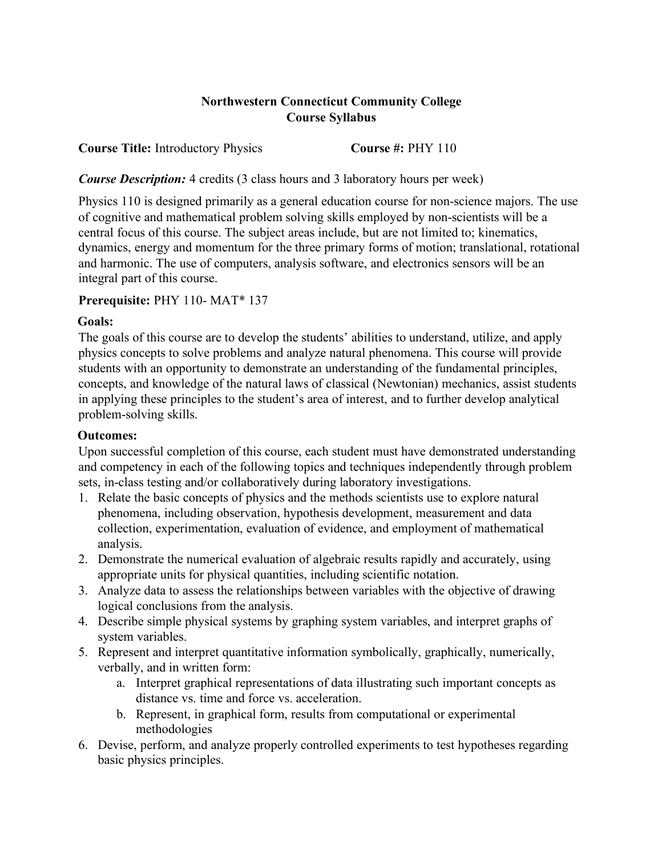## **Northwestern Connecticut Community College Course Syllabus**

**Course Title:** Introductory Physics **Course #: PHY 110** 

*Course Description:* 4 credits (3 class hours and 3 laboratory hours per week)

Physics 110 is designed primarily as a general education course for non-science majors. The use of cognitive and mathematical problem solving skills employed by non-scientists will be a central focus of this course. The subject areas include, but are not limited to; kinematics, dynamics, energy and momentum for the three primary forms of motion; translational, rotational and harmonic. The use of computers, analysis software, and electronics sensors will be an integral part of this course.

### **Prerequisite:** PHY 110- MAT\* 137

### **Goals:**

The goals of this course are to develop the students' abilities to understand, utilize, and apply physics concepts to solve problems and analyze natural phenomena. This course will provide students with an opportunity to demonstrate an understanding of the fundamental principles, concepts, and knowledge of the natural laws of classical (Newtonian) mechanics, assist students in applying these principles to the student's area of interest, and to further develop analytical problem-solving skills.

# **Outcomes:**

Upon successful completion of this course, each student must have demonstrated understanding and competency in each of the following topics and techniques independently through problem sets, in-class testing and/or collaboratively during laboratory investigations.

- 1. Relate the basic concepts of physics and the methods scientists use to explore natural phenomena, including observation, hypothesis development, measurement and data collection, experimentation, evaluation of evidence, and employment of mathematical analysis.
- 2. Demonstrate the numerical evaluation of algebraic results rapidly and accurately, using appropriate units for physical quantities, including scientific notation.
- 3. Analyze data to assess the relationships between variables with the objective of drawing logical conclusions from the analysis.
- 4. Describe simple physical systems by graphing system variables, and interpret graphs of system variables.
- 5. Represent and interpret quantitative information symbolically, graphically, numerically, verbally, and in written form:
	- a. Interpret graphical representations of data illustrating such important concepts as distance vs. time and force vs. acceleration.
	- b. Represent, in graphical form, results from computational or experimental methodologies
- 6. Devise, perform, and analyze properly controlled experiments to test hypotheses regarding basic physics principles.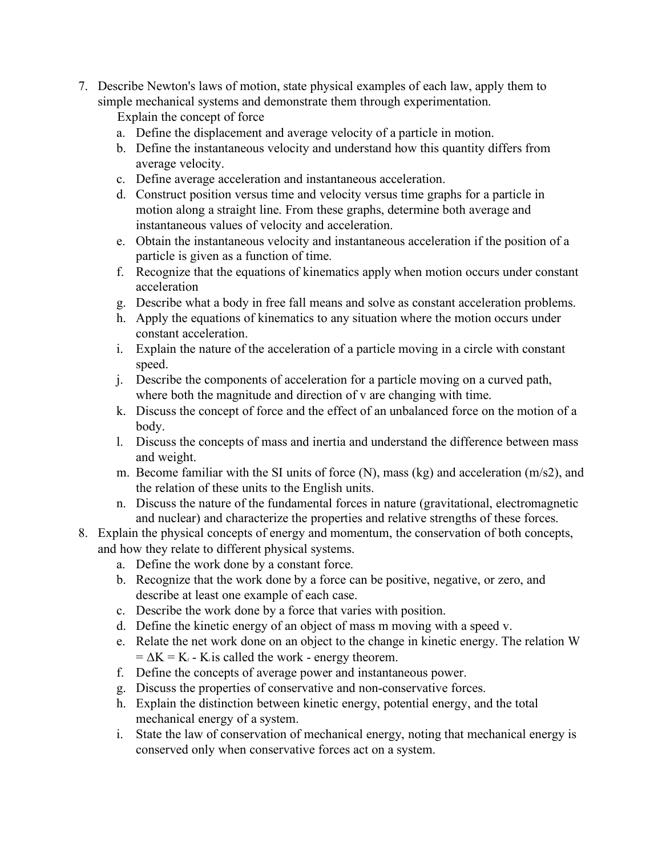7. Describe Newton's laws of motion, state physical examples of each law, apply them to simple mechanical systems and demonstrate them through experimentation.

Explain the concept of force

- a. Define the displacement and average velocity of a particle in motion.
- b. Define the instantaneous velocity and understand how this quantity differs from average velocity.
- c. Define average acceleration and instantaneous acceleration.
- d. Construct position versus time and velocity versus time graphs for a particle in motion along a straight line. From these graphs, determine both average and instantaneous values of velocity and acceleration.
- e. Obtain the instantaneous velocity and instantaneous acceleration if the position of a particle is given as a function of time.
- f. Recognize that the equations of kinematics apply when motion occurs under constant acceleration
- g. Describe what a body in free fall means and solve as constant acceleration problems.
- h. Apply the equations of kinematics to any situation where the motion occurs under constant acceleration.
- i. Explain the nature of the acceleration of a particle moving in a circle with constant speed.
- j. Describe the components of acceleration for a particle moving on a curved path, where both the magnitude and direction of v are changing with time.
- k. Discuss the concept of force and the effect of an unbalanced force on the motion of a body.
- l. Discuss the concepts of mass and inertia and understand the difference between mass and weight.
- m. Become familiar with the SI units of force (N), mass (kg) and acceleration (m/s2), and the relation of these units to the English units.
- n. Discuss the nature of the fundamental forces in nature (gravitational, electromagnetic and nuclear) and characterize the properties and relative strengths of these forces.
- 8. Explain the physical concepts of energy and momentum, the conservation of both concepts, and how they relate to different physical systems.
	- a. Define the work done by a constant force.
	- b. Recognize that the work done by a force can be positive, negative, or zero, and describe at least one example of each case.
	- c. Describe the work done by a force that varies with position.
	- d. Define the kinetic energy of an object of mass m moving with a speed v.
	- e. Relate the net work done on an object to the change in kinetic energy. The relation W  $= \Delta K = K_f$  - K<sub>i</sub> is called the work - energy theorem.
	- f. Define the concepts of average power and instantaneous power.
	- g. Discuss the properties of conservative and non-conservative forces.
	- h. Explain the distinction between kinetic energy, potential energy, and the total mechanical energy of a system.
	- i. State the law of conservation of mechanical energy, noting that mechanical energy is conserved only when conservative forces act on a system.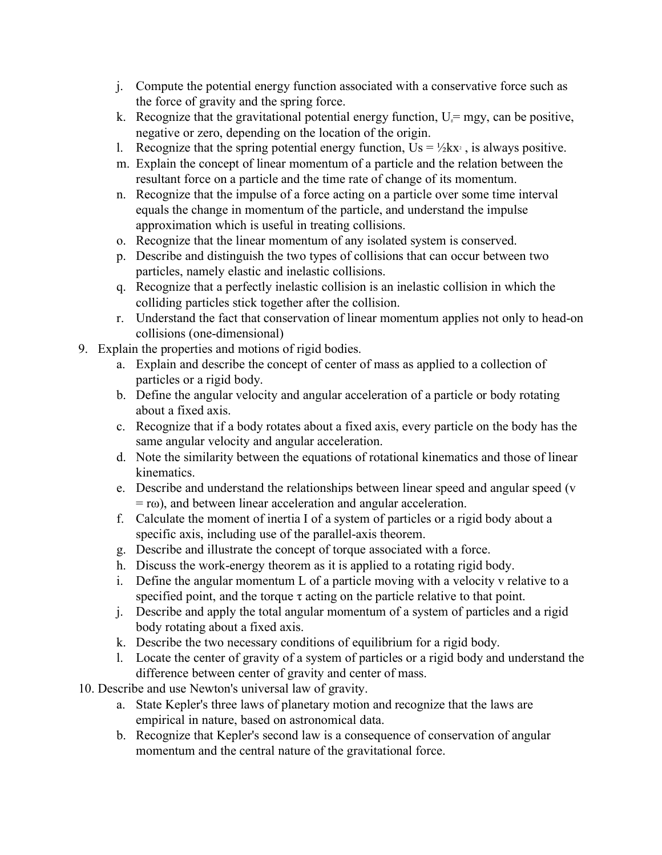- j. Compute the potential energy function associated with a conservative force such as the force of gravity and the spring force.
- k. Recognize that the gravitational potential energy function,  $U_i = mgy$ , can be positive, negative or zero, depending on the location of the origin.
- l. Recognize that the spring potential energy function,  $Us = \frac{1}{2}kx^2$ , is always positive.
- m. Explain the concept of linear momentum of a particle and the relation between the resultant force on a particle and the time rate of change of its momentum.
- n. Recognize that the impulse of a force acting on a particle over some time interval equals the change in momentum of the particle, and understand the impulse approximation which is useful in treating collisions.
- o. Recognize that the linear momentum of any isolated system is conserved.
- p. Describe and distinguish the two types of collisions that can occur between two particles, namely elastic and inelastic collisions.
- q. Recognize that a perfectly inelastic collision is an inelastic collision in which the colliding particles stick together after the collision.
- r. Understand the fact that conservation of linear momentum applies not only to head-on collisions (one-dimensional)
- 9. Explain the properties and motions of rigid bodies.
	- a. Explain and describe the concept of center of mass as applied to a collection of particles or a rigid body.
	- b. Define the angular velocity and angular acceleration of a particle or body rotating about a fixed axis.
	- c. Recognize that if a body rotates about a fixed axis, every particle on the body has the same angular velocity and angular acceleration.
	- d. Note the similarity between the equations of rotational kinematics and those of linear kinematics.
	- e. Describe and understand the relationships between linear speed and angular speed (v = rω), and between linear acceleration and angular acceleration.
	- f. Calculate the moment of inertia I of a system of particles or a rigid body about a specific axis, including use of the parallel-axis theorem.
	- g. Describe and illustrate the concept of torque associated with a force.
	- h. Discuss the work-energy theorem as it is applied to a rotating rigid body.
	- i. Define the angular momentum L of a particle moving with a velocity v relative to a specified point, and the torque  $\tau$  acting on the particle relative to that point.
	- j. Describe and apply the total angular momentum of a system of particles and a rigid body rotating about a fixed axis.
	- k. Describe the two necessary conditions of equilibrium for a rigid body.
	- l. Locate the center of gravity of a system of particles or a rigid body and understand the difference between center of gravity and center of mass.
- 10. Describe and use Newton's universal law of gravity.
	- a. State Kepler's three laws of planetary motion and recognize that the laws are empirical in nature, based on astronomical data.
	- b. Recognize that Kepler's second law is a consequence of conservation of angular momentum and the central nature of the gravitational force.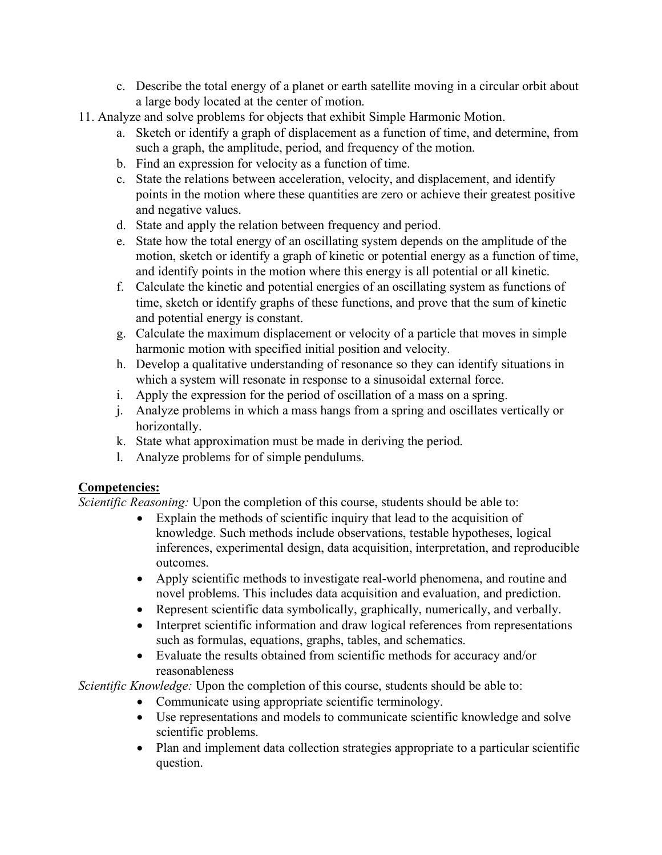- c. Describe the total energy of a planet or earth satellite moving in a circular orbit about a large body located at the center of motion.
- 11. Analyze and solve problems for objects that exhibit Simple Harmonic Motion.
	- a. Sketch or identify a graph of displacement as a function of time, and determine, from such a graph, the amplitude, period, and frequency of the motion.
	- b. Find an expression for velocity as a function of time.
	- c. State the relations between acceleration, velocity, and displacement, and identify points in the motion where these quantities are zero or achieve their greatest positive and negative values.
	- d. State and apply the relation between frequency and period.
	- e. State how the total energy of an oscillating system depends on the amplitude of the motion, sketch or identify a graph of kinetic or potential energy as a function of time, and identify points in the motion where this energy is all potential or all kinetic.
	- f. Calculate the kinetic and potential energies of an oscillating system as functions of time, sketch or identify graphs of these functions, and prove that the sum of kinetic and potential energy is constant.
	- g. Calculate the maximum displacement or velocity of a particle that moves in simple harmonic motion with specified initial position and velocity.
	- h. Develop a qualitative understanding of resonance so they can identify situations in which a system will resonate in response to a sinusoidal external force.
	- i. Apply the expression for the period of oscillation of a mass on a spring.
	- j. Analyze problems in which a mass hangs from a spring and oscillates vertically or horizontally.
	- k. State what approximation must be made in deriving the period.
	- l. Analyze problems for of simple pendulums.

#### **Competencies:**

*Scientific Reasoning:* Upon the completion of this course, students should be able to:

- Explain the methods of scientific inquiry that lead to the acquisition of knowledge. Such methods include observations, testable hypotheses, logical inferences, experimental design, data acquisition, interpretation, and reproducible outcomes.
- Apply scientific methods to investigate real-world phenomena, and routine and novel problems. This includes data acquisition and evaluation, and prediction.
- Represent scientific data symbolically, graphically, numerically, and verbally.
- Interpret scientific information and draw logical references from representations such as formulas, equations, graphs, tables, and schematics.
- Evaluate the results obtained from scientific methods for accuracy and/or reasonableness

*Scientific Knowledge:* Upon the completion of this course, students should be able to:

- Communicate using appropriate scientific terminology.
- Use representations and models to communicate scientific knowledge and solve scientific problems.
- Plan and implement data collection strategies appropriate to a particular scientific question.